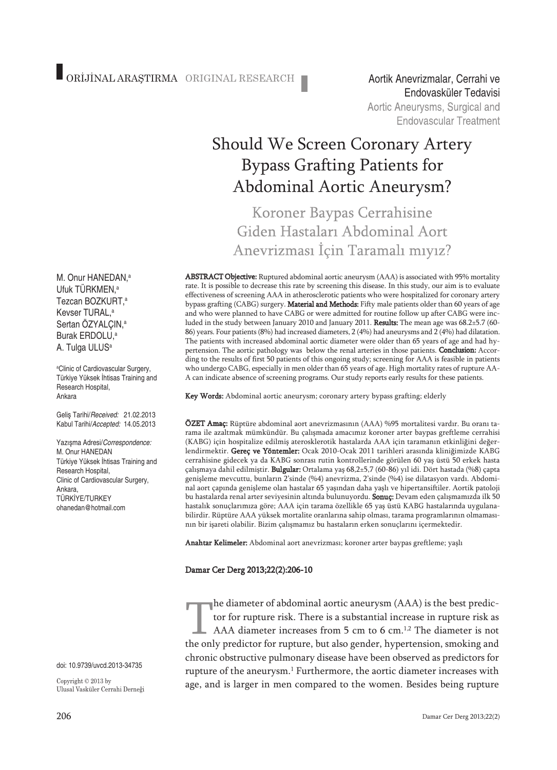Endovasküler TedavisiAortic Aneurysms, Surgical and **Endovascular Treatment** 

# Should We Screen Coronary Artery Bypass Grafting Patients for Abdominal Aortic Aneurysm?

Koroner Baypas Cerrahisine Giden Hastaları Abdominal Aort Anevrizması İçin Taramalı mıyız?

ABSTRACT Objective: Ruptured abdominal aortic aneurysm (AAA) is associated with 95% mortality rate. It is possible to decrease this rate by screening this disease. In this study, our aim is to evaluate effectiveness of screening AAA in atherosclerotic patients who were hospitalized for coronary artery bypass grafting (CABG) surgery. Material and Methods: Fifty male patients older than 60 years of age and who were planned to have CABG or were admitted for routine follow up after CABG were included in the study between January 2010 and January 2011. Results: The mean age was 68.2±5.7 (60-86) years. Four patients (8%) had increased diameters, 2 (4%) had aneurysms and 2 (4%) had dilatation. The patients with increased abdominal aortic diameter were older than 65 years of age and had hypertension. The aortic pathology was below the renal arteries in those patients. Conclusion: According to the results of first 50 patients of this ongoing study; screening for AAA is feasible in patients who undergo CABG, especially in men older than 65 years of age. High mortality rates of rupture AA-A can indicate absence of screening programs. Our study reports early results for these patients.

Key Words: Abdominal aortic aneurysm; coronary artery bypass grafting; elderly

ÖZET Amaç: Rüptüre abdominal aort anevrizmasının (AAA) %95 mortalitesi vardır. Bu oranı tarama ile azaltmak mümkündür. Bu çalışmada amacımız koroner arter baypas greftleme cerrahisi (KABG) için hospitalize edilmiş aterosklerotik hastalarda AAA için taramanın etkinliğini değerlendirmektir. Gereç ve Yöntemler: Ocak 2010-Ocak 2011 tarihleri arasında kliniğimizde KABG cerrahisine gidecek ya da KABG sonrası rutin kontrollerinde görülen 60 yaş üstü 50 erkek hasta çalışmaya dahil edilmiştir. Bulgular: Ortalama yaş 68,2±5,7 (60-86) yıl idi. Dört hastada (%8) çapta genişleme mevcuttu, bunların 2'sinde (%4) anevrizma, 2'sinde (%4) ise dilatasyon vardı. Abdominal aort çapında genişleme olan hastalar 65 yaşından daha yaşlı ve hipertansiftiler. Aortik patoloji bu hastalarda renal arter seviyesinin altında bulunuyordu. Sonuç: Devam eden çalışmamızda ilk 50 hastalık sonuçlarımıza göre; AAA için tarama özellikle 65 yaş üstü KABG hastalarında uygulanabilirdir. Rüptüre AAA yüksek mortalite oranlarına sahip olması, tarama programlarının olmamasının bir işareti olabilir. Bizim çalışmamız bu hastaların erken sonuçlarını içermektedir.

Anahtar Kelimeler: Abdominal aort anevrizması; koroner arter baypas greftleme; yaşlı

#### Damar Cer Derg 2013;22(2):206-10

he diameter of abdominal aortic aneurysm (AAA) is the best predictor for rupture risk. There is a substantial increase in rupture risk as AAA diameter increases from 5 cm to 6 cm.<sup>1,2</sup> The diameter is not the only predictor for rupture, but also gender, hypertension, smoking and chronic obstructive pulmonary disease have been observed as predictors for rupture of the aneurysm.<sup>1</sup> Furthermore, the aortic diameter increases with age, and is larger in men compared to the women. Besides being rupture

M. Onur HANEDAN, a Ufuk TÜRKMEN, a Tezcan BOZKURT, a Kevser TURAL, a Sertan OZYALÇIN,<sup>a</sup> Burak ERDOLU, a A. Tulga ULUS<sup>a</sup>

a Clinic of Cardiovascular Surgery, Türkiye Yüksek İhtisas Training and Research Hospital, Ankara

Geliş Tarihi/*Received:* 21.02.2013 Kabul Tarihi/*Accepted:* 14.05.2013

Yazışma Adresi/*Correspondence:* M. Onur HANEDAN Türkiye Yüksek İhtisas Training and Research Hospital, Clinic of Cardiovascular Surgery, Ankara, TÜRKİYE/TURKEY ohanedan@hotmail.com

doi: 10.9739/uvcd.2013-34735

Copyright  $\copyright$  2013 by Ulusal Vasküler Cerrahi Derneği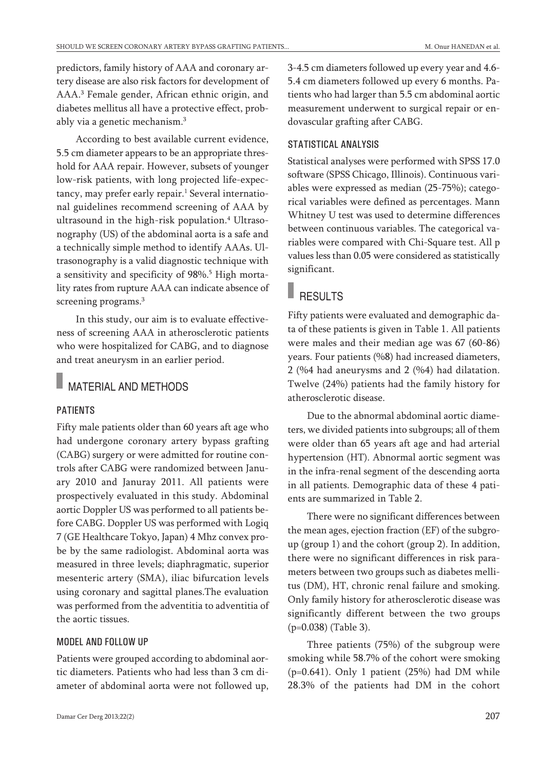predictors, family history of AAA and coronary artery disease are also risk factors for development of AAA. <sup>3</sup> Female gender, African ethnic origin, and diabetes mellitus all have a protective effect, probably via a genetic mechanism. 3

According to best available current evidence, 5.5 cm diameter appears to be an appropriate threshold for AAA repair. However, subsets of younger low-risk patients, with long projected life-expectancy, may prefer early repair. <sup>1</sup> Several international guidelines recommend screening of AAA by ultrasound in the high-risk population. <sup>4</sup> Ultrasonography (US) of the abdominal aorta is a safe and a technically simple method to identify AAAs. Ultrasonography is a valid diagnostic technique with a sensitivity and specificity of 98%. <sup>5</sup> High mortality rates from rupture AAA can indicate absence of screening programs. 3

In this study, our aim is to evaluate effectiveness of screening AAA in atherosclerotic patients who were hospitalized for CABG, and to diagnose and treat aneurysm in an earlier period.

### MATERIAL AND METHODS

#### PATIENTS

Fifty male patients older than 60 years aft age who had undergone coronary artery bypass grafting (CABG) surgery or were admitted for routine controls after CABG were randomized between January 2010 and Januray 2011. All patients were prospectively evaluated in this study. Abdominal aortic Doppler US was performed to all patients before CABG. Doppler US was performed with Logiq 7 (GE Healthcare Tokyo, Japan) 4 Mhz convex probe by the same radiologist. Abdominal aorta was measured in three levels; diaphragmatic, superior mesenteric artery (SMA), iliac bifurcation levels using coronary and sagittal planes.The evaluation was performed from the adventitia to adventitia of the aortic tissues.

#### MODEL AND FOLLOW UP

Patients were grouped according to abdominal aortic diameters. Patients who had less than 3 cm diameter of abdominal aorta were not followed up, 3-4.5 cm diameters followed up every year and 4.6- 5.4 cm diameters followed up every 6 months. Patients who had larger than 5.5 cm abdominal aortic measurement underwent to surgical repair or endovascular grafting after CABG.

#### STATISTICAL ANALYSIS

Statistical analyses were performed with SPSS 17.0 software (SPSS Chicago, Illinois). Continuous variables were expressed as median (25-75%); categorical variables were defined as percentages. Mann Whitney U test was used to determine differences between continuous variables. The categorical variables were compared with Chi-Square test. All p values less than 0.05 were considered as statistically significant.

## **RESULTS**

Fifty patients were evaluated and demographic data of these patients is given in Table 1. All patients were males and their median age was 67 (60-86) years. Four patients (%8) had increased diameters, 2 (%4 had aneurysms and 2 (%4) had dilatation. Twelve (24%) patients had the family history for atherosclerotic disease.

Due to the abnormal abdominal aortic diameters, we divided patients into subgroups; all of them were older than 65 years aft age and had arterial hypertension (HT). Abnormal aortic segment was in the infra-renal segment of the descending aorta in all patients. Demographic data of these 4 patients are summarized in Table 2.

There were no significant differences between the mean ages, ejection fraction (EF) of the subgroup (group 1) and the cohort (group 2). In addition, there were no significant differences in risk parameters between two groups such as diabetes mellitus (DM), HT, chronic renal failure and smoking. Only family history for atherosclerotic disease was significantly different between the two groups (p=0.038) (Table 3).

Three patients (75%) of the subgroup were smoking while 58.7% of the cohort were smoking (p=0.641). Only 1 patient (25%) had DM while 28.3% of the patients had DM in the cohort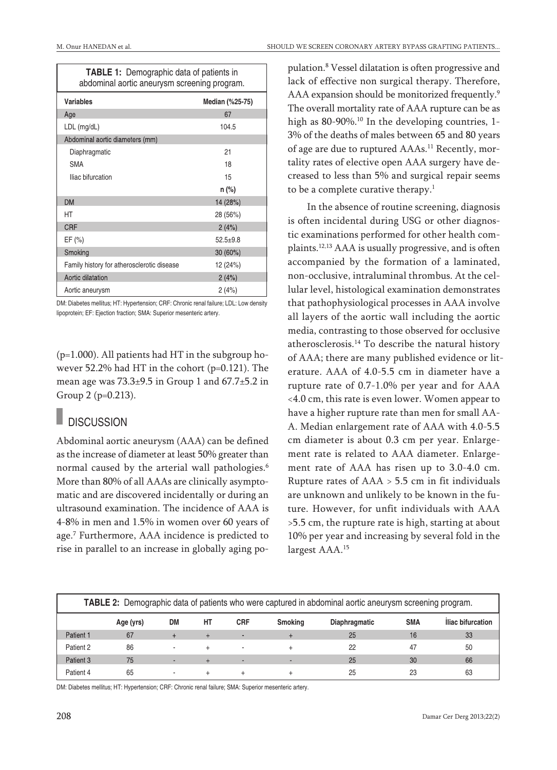| <b>TABLE 1:</b> Demographic data of patients in<br>abdominal aortic aneurysm screening program. |                 |  |  |  |  |  |
|-------------------------------------------------------------------------------------------------|-----------------|--|--|--|--|--|
| <b>Variables</b>                                                                                | Median (%25-75) |  |  |  |  |  |
| Age                                                                                             | 67              |  |  |  |  |  |
| LDL (mg/dL)                                                                                     | 104.5           |  |  |  |  |  |
| Abdominal aortic diameters (mm)                                                                 |                 |  |  |  |  |  |
| Diaphragmatic                                                                                   | 21              |  |  |  |  |  |
| <b>SMA</b>                                                                                      | 18              |  |  |  |  |  |
| Iliac bifurcation                                                                               | 15              |  |  |  |  |  |
|                                                                                                 | $n$ (%)         |  |  |  |  |  |
| <b>DM</b>                                                                                       | 14 (28%)        |  |  |  |  |  |
| НT                                                                                              | 28 (56%)        |  |  |  |  |  |
| <b>CRF</b>                                                                                      | 2(4%)           |  |  |  |  |  |
| EF $(\% )$                                                                                      | $52.5+9.8$      |  |  |  |  |  |
| Smoking                                                                                         | 30 (60%)        |  |  |  |  |  |
| Family history for atherosclerotic disease                                                      | 12 (24%)        |  |  |  |  |  |
| Aortic dilatation                                                                               | 2(4%)           |  |  |  |  |  |
| Aortic aneurysm                                                                                 | 2(4%)           |  |  |  |  |  |

DM: Diabetes mellitus; HT: Hypertension; CRF: Chronic renal failure; LDL: Low density lipoprotein; EF: Ejection fraction; SMA: Superior mesenteric artery.

(p=1.000). All patients had HT in the subgroup however 52.2% had HT in the cohort (p=0.121). The mean age was  $73.3\pm9.5$  in Group 1 and  $67.7\pm5.2$  in Group 2 (p=0.213).

### **DISCUSSION**

Abdominal aortic aneurysm (AAA) can be defined as the increase of diameter at least 50% greater than normal caused by the arterial wall pathologies. 6 More than 80% of all AAAs are clinically asymptomatic and are discovered incidentally or during an ultrasound examination. The incidence of AAA is 4-8% in men and 1.5% in women over 60 years of age. <sup>7</sup> Furthermore, AAA incidence is predicted to rise in parallel to an increase in globally aging po-

pulation. <sup>8</sup> Vessel dilatation is often progressive and lack of effective non surgical therapy. Therefore, AAA expansion should be monitorized frequently.<sup>9</sup> The overall mortality rate of AAA rupture can be as high as 80-90%.<sup>10</sup> In the developing countries, 1-3% of the deaths of males between 65 and 80 years of age are due to ruptured AAAs. <sup>11</sup> Recently, mortality rates of elective open AAA surgery have decreased to less than 5% and surgical repair seems to be a complete curative therapy. 1

In the absence of routine screening, diagnosis is often incidental during USG or other diagnostic examinations performed for other health complaints. 12,13 AAA is usually progressive, and is often accompanied by the formation of a laminated, non-occlusive, intraluminal thrombus. At the cellular level, histological examination demonstrates that pathophysiological processes in AAA involve all layers of the aortic wall including the aortic media, contrasting to those observed for occlusive atherosclerosis. <sup>14</sup> To describe the natural history of AAA; there are many published evidence or literature. AAA of 4.0-5.5 cm in diameter have a rupture rate of 0.7-1.0% per year and for AAA <4.0 cm, this rate is even lower. Women appear to have a higher rupture rate than men for small AA-A. Median enlargement rate of AAA with 4.0-5.5 cm diameter is about 0.3 cm per year. Enlargement rate is related to AAA diameter. Enlargement rate of AAA has risen up to 3.0-4.0 cm. Rupture rates of AAA > 5.5 cm in fit individuals are unknown and unlikely to be known in the future. However, for unfit individuals with AAA >5.5 cm, the rupture rate is high, starting at about 10% per year and increasing by several fold in the largest AAA. 15

| TABLE 2: Demographic data of patients who were captured in abdominal aortic aneurysm screening program. |           |    |    |                          |                |                      |            |                   |
|---------------------------------------------------------------------------------------------------------|-----------|----|----|--------------------------|----------------|----------------------|------------|-------------------|
|                                                                                                         | Age (yrs) | DM | HT | <b>CRF</b>               | <b>Smoking</b> | <b>Diaphragmatic</b> | <b>SMA</b> | Iliac bifurcation |
| Patient 1                                                                                               | 67        |    |    |                          |                | 25                   | 16         | 33                |
| Patient 2                                                                                               | 86        |    |    | $\overline{\phantom{a}}$ |                | 22                   | 47         | 50                |
| Patient 3                                                                                               | 75        |    |    | $\sim$                   |                | 25                   | 30         | 66                |
| Patient 4                                                                                               | 65        |    |    |                          |                | 25                   | 23         | 63                |

DM: Diabetes mellitus; HT: Hypertension; CRF: Chronic renal failure; SMA: Superior mesenteric artery.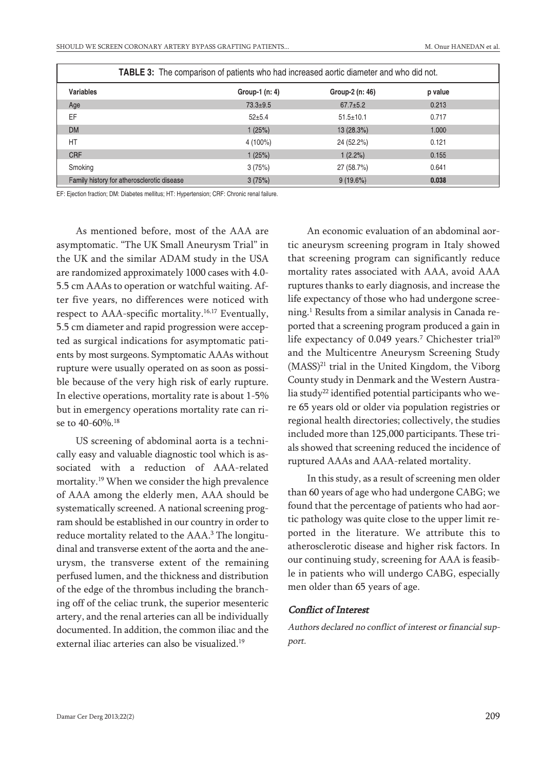| <b>TABLE 3:</b> The comparison of patients who had increased aortic diameter and who did not. |                |                 |         |  |  |  |
|-----------------------------------------------------------------------------------------------|----------------|-----------------|---------|--|--|--|
| <b>Variables</b>                                                                              | Group-1 (n: 4) | Group-2 (n: 46) | p value |  |  |  |
| Age                                                                                           | $73.3 \pm 9.5$ | $67.7 \pm 5.2$  | 0.213   |  |  |  |
| EF                                                                                            | $52+5.4$       | $51.5 \pm 10.1$ | 0.717   |  |  |  |
| <b>DM</b>                                                                                     | 1(25%)         | 13 (28.3%)      | 1.000   |  |  |  |
| HT                                                                                            | $4(100\%)$     | 24 (52.2%)      | 0.121   |  |  |  |
| <b>CRF</b>                                                                                    | 1(25%)         | 1(2.2%)         | 0.155   |  |  |  |
| Smoking                                                                                       | 3(75%)         | 27 (58.7%)      | 0.641   |  |  |  |
| Family history for atherosclerotic disease                                                    | 3(75%)         | $9(19.6\%)$     | 0.038   |  |  |  |

EF: Ejection fraction; DM: Diabetes mellitus; HT: Hypertension; CRF: Chronic renal failure.

As mentioned before, most of the AAA are asymptomatic. "The UK Small Aneurysm Trial" in the UK and the similar ADAM study in the USA are randomized approximately 1000 cases with 4.0- 5.5 cm AAAs to operation or watchful waiting. After five years, no differences were noticed with respect to AAA-specific mortality. 16,17 Eventually, 5.5 cm diameter and rapid progression were accepted as surgical indications for asymptomatic patients by most surgeons. Symptomatic AAAs without rupture were usually operated on as soon as possible because of the very high risk of early rupture. In elective operations, mortality rate is about 1-5% but in emergency operations mortality rate can rise to 40-60%. 18

US screening of abdominal aorta is a technically easy and valuable diagnostic tool which is associated with a reduction of AAA-related mortality. <sup>19</sup> When we consider the high prevalence of AAA among the elderly men, AAA should be systematically screened. A national screening program should be established in our country in order to reduce mortality related to the AAA. <sup>3</sup> The longitudinal and transverse extent of the aorta and the aneurysm, the transverse extent of the remaining perfused lumen, and the thickness and distribution of the edge of the thrombus including the branching off of the celiac trunk, the superior mesenteric artery, and the renal arteries can all be individually documented. In addition, the common iliac and the external iliac arteries can also be visualized. 19

An economic evaluation of an abdominal aortic aneurysm screening program in Italy showed that screening program can significantly reduce mortality rates associated with AAA, avoid AAA ruptures thanks to early diagnosis, and increase the life expectancy of those who had undergone screening. <sup>1</sup> Results from a similar analysis in Canada reported that a screening program produced a gain in life expectancy of 0.049 years.<sup>7</sup> Chichester trial<sup>20</sup> and the Multicentre Aneurysm Screening Study (MASS) <sup>21</sup> trial in the United Kingdom, the Viborg County study in Denmark and the Western Australia study<sup>22</sup> identified potential participants who were 65 years old or older via population registries or regional health directories; collectively, the studies included more than 125,000 participants. These trials showed that screening reduced the incidence of ruptured AAAs and AAA-related mortality.

In this study, as a result of screening men older than 60 years of age who had undergone CABG; we found that the percentage of patients who had aortic pathology was quite close to the upper limit reported in the literature. We attribute this to atherosclerotic disease and higher risk factors. In our continuing study, screening for AAA is feasible in patients who will undergo CABG, especially men older than 65 years of age.

#### Conflict of Interest

Authors declared no conflict of interest or financial support.